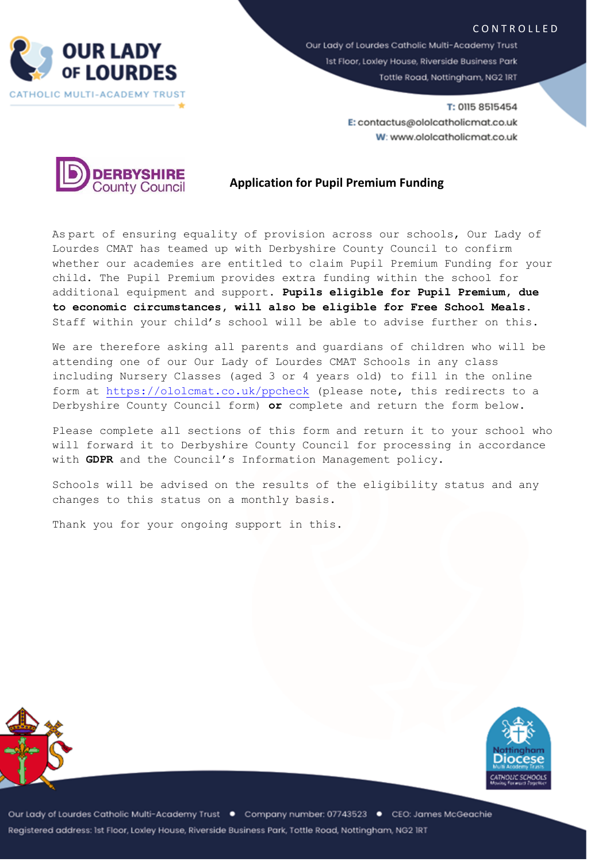



Our Lady of Lourdes Catholic Multi-Academy Trust 1st Floor, Loxley House, Riverside Business Park Tottle Road, Nottingham, NG2 IRT

> T: 0115 8515454 E: contactus@ololcatholicmat.co.uk W: www.ololcatholicmat.co.uk



## **Application for Pupil Premium Funding**

As part of ensuring equality of provision across our schools, Our Lady of Lourdes CMAT has teamed up with Derbyshire County Council to confirm whether our academies are entitled to claim Pupil Premium Funding for your child. The Pupil Premium provides extra funding within the school for additional equipment and support. **Pupils eligible for Pupil Premium, due to economic circumstances, will also be eligible for Free School Meals.** Staff within your child's school will be able to advise further on this.

We are therefore asking all parents and guardians of children who will be attending one of our Our Lady of Lourdes CMAT Schools in any class including Nursery Classes (aged 3 or 4 years old) to fill in the online form at<https://ololcmat.co.uk/ppcheck> (please note, this redirects to a Derbyshire County Council form) **or** complete and return the form below.

Please complete all sections of this form and return it to your school who will forward it to Derbyshire County Council for processing in accordance with **GDPR** and the Council's Information Management policy.

Schools will be advised on the results of the eligibility status and any changes to this status on a monthly basis.

Thank you for your ongoing support in this.





Our Lady of Lourdes Catholic Multi-Academy Trust ● Company number: 07743523 ● CEO: James McGeachie Registered address: Ist Floor, Loxley House, Riverside Business Park, Tottle Road, Nottingham, NG2 IRT